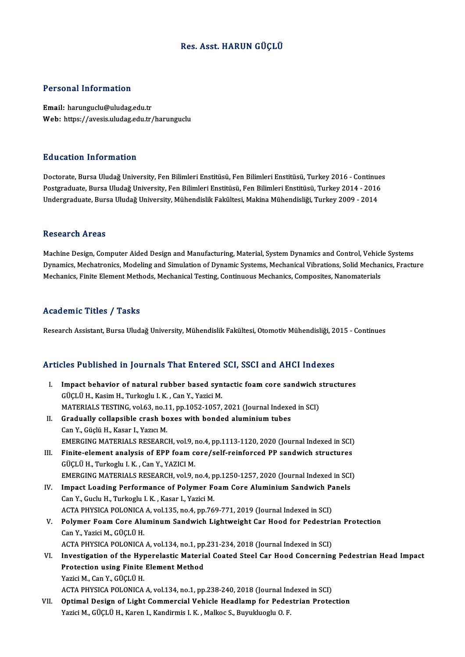### Res. Asst.HARUN GÜÇLÜ

### Personal Information

Email: harunguclu@uludag.edu.tr Web: https://avesis.uludag.edu.tr/harunguclu

### Education Information

<mark>Education Information</mark><br>Doctorate, Bursa Uludağ University, Fen Bilimleri Enstitüsü, Fen Bilimleri Enstitüsü, Turkey 2016 - Continues<br>Postsraduata Pursa Uludağ University, Fen Bilimleri Enstitüsü, Fen Bilimleri Enstitüsü, Pu u sutrom minominusion<br>Doctorate, Bursa Uludağ University, Fen Bilimleri Enstitüsü, Fen Bilimleri Enstitüsü, Turkey 2016 - Continue:<br>Indergraduate, Bursa Uludağ University, Fen Bilimleri Enstitüsü, Fen Bilimleri Enstitüs Postgraduate, Bursa Uludağ University, Fen Bilimleri Enstitüsü, Fen Bilimleri Enstitüsü, Turkey 2014 - 2016<br>Undergraduate, Bursa Uludağ University, Mühendislik Fakültesi, Makina Mühendisliği, Turkey 2009 - 2014

#### **Research Areas**

Machine Design, Computer Aided Design and Manufacturing, Material, System Dynamics and Control, Vehicle Systems Dynamics, Mechatronics, Modeling and Simulation of Dynamic Systems, Mechanical Vibrations, Solid Mechanics, Fracture Mechanics, Finite Element Methods, Mechanical Testing, Continuous Mechanics, Composites, Nanomaterials

### Academic Titles / Tasks

Research Assistant, Bursa Uludağ University, Mühendislik Fakültesi, Otomotiv Mühendisliği, 2015 - Continues

# Research Assistant, bursa Uludag University, Munendislik Fakultest, Otomotiv Munendisligi, 20<br>Articles Published in Journals That Entered SCI, SSCI and AHCI Indexes

rticles Published in Journals That Entered SCI, SSCI and AHCI Indexes<br>I. Impact behavior of natural rubber based syntactic foam core sandwich structures<br>Cüclül H. Kasim H. Turkashu LK. Can Y. Yazisi M. GÜÇLÜ H., Kasim H., Turkoglu I. K. , Can Y., Yazici M.<br>MATERIALS TESTING, vol.63, no.11, pp.1052-1057, 2021 (Journal Indexed in SCI) I. Impact behavior of natural rubber based syntactic foam core sandwich structures GÜÇLÜ H., Kasim H., Turkoglu I. K. , Can Y., Yazici M.<br>MATERIALS TESTING, vol.63, no.11, pp.1052-1057, 2021 (Journal Indexe<br>II. Gradually collapsible crash boxes with bonded aluminium tubes<br>Can Y. Güelü H. Kasan J. Yawa M. MATERIALS TESTING, vol.63, no.1<br>Gradually collapsible crash bc<br>Can Y., Güçlü H., Kasar I., Yazıcı M.<br>EMERCINC MATERIALS RESEARC Gradually collapsible crash boxes with bonded aluminium tubes<br>Can Y., Güçlü H., Kasar I., Yazıcı M.<br>EMERGING MATERIALS RESEARCH, vol.9, no.4, pp.1113-1120, 2020 (Journal Indexed in SCI)<br>Finite alement analysis of EBB foam Can Y., Güçlü H., Kasar I., Yazıcı M.<br>EMERGING MATERIALS RESEARCH, vol.9, no.4, pp.1113-1120, 2020 (Journal Indexed in SCI)<br>III. Finite-element analysis of EPP foam core/self-reinforced PP sandwich structures<br>Cücu ü H. Tur III. Finite-element analysis of EPP foam core/self-reinforced PP sandwich structures GÜÇLÜ H., Turkoglu I.K., Can Y., YAZICIM. EMERGING MATERIALS RESEARCH, vol.9, no.4, pp.1250-1257, 2020 (Journal Indexed in SCI) GÜÇLÜ H., Turkoglu I. K. , Can Y., YAZICI M.<br>EMERGING MATERIALS RESEARCH, vol.9, no.4, pp.1250-1257, 2020 (Journal Indexed in SCI<br>IV. Impact Loading Performance of Polymer Foam Core Aluminium Sandwich Panels<br>Can Y. Cuslu H Can Y., Guclu H., Turkoglu I. K. , Kasar I., Yazici M.<br>ACTA PHYSICA POLONICA A. vol.135. no.4. pp.769-771. 2019 (Journal Indexed in SCI) Impact Loading Performance of Polymer Foam Core Aluminium Sandwich Pa<br>Can Y., Guclu H., Turkoglu I. K. , Kasar I., Yazici M.<br>ACTA PHYSICA POLONICA A, vol.135, no.4, pp.769-771, 2019 (Journal Indexed in SCI)<br>Polymer Foam Ca V. Polymer Foam Core Aluminum Sandwich Lightweight Car Hood for Pedestrian Protection CanY.,YaziciM.,GÜÇLÜH. Polymer Foam Core Aluminum Sandwich Lightweight Car Hood for Pedestria<br>Can Y., Yazici M., GÜÇLÜ H.<br>ACTA PHYSICA POLONICA A, vol.134, no.1, pp.231-234, 2018 (Journal Indexed in SCI)<br>Investigation of the Hymorolastic Meteria VI. Investigation of the Hyperelastic Material Coated Steel Car Hood Concerning Pedestrian Head Impact ACTA PHYSICA POLONICA A, vol.134, no.1, pp<br>Investigation of the Hyperelastic Materia<br>Protection using Finite Element Method<br>Variei M. Can V. CÜCLÜ H Protection using Finite Element Method<br>Yazici M., Can Y., GÜCLÜ H. ACTA PHYSICA POLONICA A, vol.134, no.1, pp.238-240, 2018 (Journal Indexed in SCI) Yazici M., Can Y., GÜÇLÜ H.<br>ACTA PHYSICA POLONICA A, vol.134, no.1, pp.238-240, 2018 (Journal Indexed in SCI)<br>VII. Optimal Design of Light Commercial Vehicle Headlamp for Pedestrian Protection<br>Verisi M. GÜCLÜ H. Karen ACTA PHYSICA POLONICA A, vol.134, no.1, pp.238-240, 2018 (Journal Ine<br><mark>Optimal Design of Light Commercial Vehicle Headlamp for Pede</mark>s<br>Yazici M., GÜÇLÜ H., Karen I., Kandirmis I. K. , Malkoc S., Buyukluoglu O. F.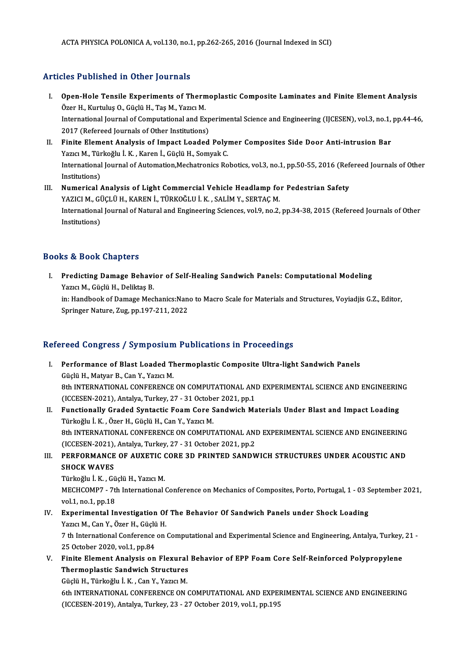### Articles Published in Other Journals

- rticles Published in Other Journals<br>I. Open-Hole Tensile Experiments of Thermoplastic Composite Laminates and Finite Element Analysis<br>Özer H. Kurtulus O. Cüclü H. Tes M. Vezer M. over The Herica in Sener Journale<br>Open-Hole Tensile Experiments of Thern<br>Özer H., Kurtuluş O., Güçlü H., Taş M., Yazıcı M.<br>International Journal of Computational and Eu Open-Hole Tensile Experiments of Thermoplastic Composite Laminates and Finite Element Analysis<br>Özer H., Kurtuluş O., Güçlü H., Taş M., Yazıcı M.<br>International Journal of Computational and Experimental Science and Engineeri Özer H., Kurtuluş O., Güçlü H., Taş M., Yazıcı M.<br>International Journal of Computational and Exp<br>2017 (Refereed Journals of Other Institutions)<br>Finite Flement Analysis of Impect Leaded International Journal of Computational and Experimental Science and Engineering (IJCESEN), vol.3, no.1,<br>2017 (Refereed Journals of Other Institutions)<br>II. Finite Element Analysis of Impact Loaded Polymer Composites Side Do
- 2017 (Refereed Journals of Other Institutions)<br>II. Finite Element Analysis of Impact Loaded Polymer Composites Side Door Anti-intrusion Bar<br>Yazıcı M., Türkoğlu İ.K. , Karen İ., Güçlü H., Somyak C. Finite Element Analysis of Impact Loaded Polymer Composites Side Door Anti-intrusion Bar<br>Yazıcı M., Türkoğlu İ. K. , Karen İ., Güçlü H., Somyak C.<br>International Journal of Automation,Mechatronics Robotics, vol.3, no.1, pp. Yazıcı M., Tür<br>International<br>Institutions)<br>Numerical International Journal of Automation, Mechatronics Robotics, vol.3, no.1, pp.50-55, 2016 (Ref<br>III. Numerical Analysis of Light Commercial Vehicle Headlamp for Pedestrian Safety<br>VAZICI M. CÜCLÜ H. KAREN İ. TÜRKOĞLLİ K. SALİM Institutions)<br>III. Numerical Analysis of Light Commercial Vehicle Headlamp for Pedestrian Safety
- International Journal of Natural and Engineering Sciences, vol.9, no.2, pp.34-38, 2015 (Refereed Journals of Other<br>Institutions) YAZICI M., GÜÇLÜ H., KAREN İ., TÜRKOĞLU İ. K. , SALİM Y., SERTAÇ M.

### Books&Book Chapters

ooks & Book Chapters<br>I. Predicting Damage Behavior of Self-Healing Sandwich Panels: Computational Modeling<br>Marie M. Güclü H. Deliktes P Yazıcı M., Güçlü H., Deliktaş B.<br>Yazıcı M., Güçlü H., Deliktaş B.<br>İn: Handbook of Damage Meg Predicting Damage Behavior of Self-Healing Sandwich Panels: Computational Modeling<br>Yazıcı M., Güçlü H., Deliktaş B.<br>in: Handbook of Damage Mechanics:Nano to Macro Scale for Materials and Structures, Voyiadjis G.Z., Editor, Yazıcı M., Güçlü H., Deliktaş B.<br>in: Handbook of Damage Mechanics:Nan<br>Springer Nature, Zug, pp.197-211, 2022

## Springer Nature, Zug, pp.197-211, 2022<br>Refereed Congress / Symposium Publications in Proceedings

- efereed Congress / Symposium Publications in Proceedings<br>I. Performance of Blast Loaded Thermoplastic Composite Ultra-light Sandwich Panels<br>Cöclü H. Mation P. Can V. Varia M. Feed Congress / Symposium<br>Performance of Blast Loaded Tl<br>Güçlü H., Matyar B., Can Y., Yazıcı M.<br>9th INTERNATIONAL CONEERENCE Performance of Blast Loaded Thermoplastic Composite Ultra-light Sandwich Panels<br>Güçlü H., Matyar B., Can Y., Yazıcı M.<br>8th INTERNATIONAL CONFERENCE ON COMPUTATIONAL AND EXPERIMENTAL SCIENCE AND ENGINEERING<br>(ICCEEEN 2021), Güçlü H., Matyar B., Can Y., Yazıcı M.<br>8th INTERNATIONAL CONFERENCE ON COMPUTATIONAL AND EXPERIMENTAL SCIENCE AND ENGINEERING<br>(ICCESEN-2021), Antalya, Turkey, 27 - 31 October 2021, pp.1
- II. Functionally Graded Syntactic Foam Core Sandwich Materials Under Blast and Impact Loading Türkoğlu İ.K. ,ÖzerH.,GüçlüH.,CanY.,YazıcıM. Functionally Graded Syntactic Foam Core Sandwich Materials Under Blast and Impact Loading<br>Türkoğlu İ. K. , Özer H., Güçlü H., Can Y., Yazıcı M.<br>8th INTERNATIONAL CONFERENCE ON COMPUTATIONAL AND EXPERIMENTAL SCIENCE AND ENG Türkoğlu İ. K. , Özer H., Güçlü H., Can Y., Yazıcı M.<br>8th INTERNATIONAL CONFERENCE ON COMPUTATIONAL ANI<br>(ICCESEN-2021), Antalya, Turkey, 27 - 31 October 2021, pp.2<br>REREORMANCE OF AUXETIC CORE 3D RRINTED SANDM 8th INTERNATIONAL CONFERENCE ON COMPUTATIONAL AND EXPERIMENTAL SCIENCE AND ENGINEERING<br>(ICCESEN-2021), Antalya, Turkey, 27 - 31 October 2021, pp.2<br>III. PERFORMANCE OF AUXETIC CORE 3D PRINTED SANDWICH STRUCTURES UNDER ACOUS
- (ICCESEN-2021),<br>PERFORMANCE<br>SHOCK WAVES PERFORMANCE OF AUXETIC (<br>SHOCK WAVES<br>Türkoğlu İ.K. , Güçlü H., Yazıcı M.<br>MECHCOMP7 - 7th International

SHOCK WAVES<br>Türkoğlu İ. K. , Güçlü H., Yazıcı M.<br>MECHCOMP7 - 7th International Conference on Mechanics of Composites, Porto, Portugal, 1 - 03 September 2021, Türkoğlu İ. K. , Gü<br>MECHCOMP7 - 7tl<br>vol.1, no.1, pp.18<br>Eunerimentel In MECHCOMP7 - 7th International Conference on Mechanics of Composites, Porto, Portugal, 1 - 03 S<br>vol.1, no.1, pp.18<br>IV. Experimental Investigation Of The Behavior Of Sandwich Panels under Shock Loading<br>Varia M. Can Y. Özen H

### vol.1, no.1, pp.18<br>IV. Experimental Investigation Of The Behavior Of Sandwich Panels under Shock Loading<br>Yazıcı M., Can Y., Özer H., Güçlü H. Experimental Investigation Of The Behavior Of Sandwich Panels under Shock Loading<br>Yazıcı M., Can Y., Özer H., Güçlü H.<br>7 th International Conference on Computational and Experimental Science and Engineering, Antalya, Turke

Yazıcı M., Can Y., Özer H., Güçlü<br>7 th International Conference<br>25 October 2020, vol.1, pp.84<br>Finite Flement Anelygis on 7 th International Conference on Computational and Experimental Science and Engineering, Antalya, Turkey,<br>25 October 2020, vol.1, pp.84<br>V. Finite Element Analysis on Flexural Behavior of EPP Foam Core Self-Reinforced Polyp

25 October 2020, vol.1, pp.84<br>Finite Element Analysis on Flexural<br>Thermoplastic Sandwich Structures Finite Element Analysis on Flexural<br>Thermoplastic Sandwich Structures<br>Güçlü H., Türkoğlu İ. K. , Can Y., Yazıcı M.<br>4th INTERNATIONAL CONEERENCE ON Thermoplastic Sandwich Structures<br>Güçlü H., Türkoğlu İ. K. , Can Y., Yazıcı M.<br>6th INTERNATIONAL CONFERENCE ON COMPUTATIONAL AND EXPERIMENTAL SCIENCE AND ENGINEERING

(ICCESEN-2019), Antalya, Turkey, 23 - 27 October 2019, vol.1, pp.195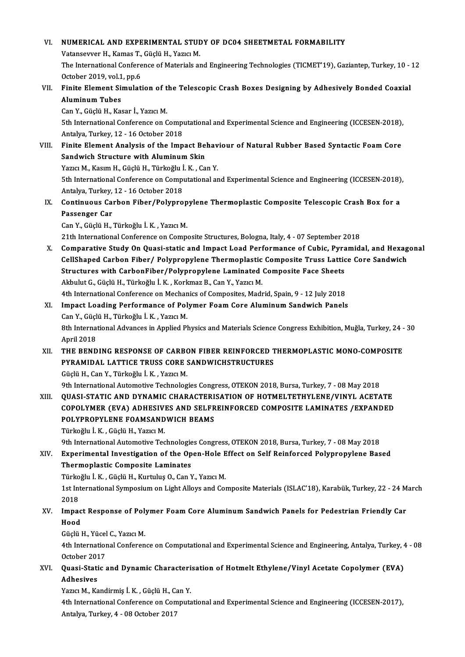### VI. NUMERICAL AND EXPERIMENTAL STUDY OF DC04 SHEETMETAL FORMABILITY NUMERICAL AND EXPERIMENTAL STUL<br>Vatansevver H., Kamas T., Güçlü H., Yazıcı M.<br>The International Conference of Materiale ar The International Conference of Materials and Engineering Technologies (TICMET'19), Gaziantep, Turkey, 10 - 12<br>October 2019, vol.1, pp.6 Vatansevver H., Kamas T., Güçlü H., Yazıcı M. The International Conference of Materials and Engineering Technologies (TICMET'19), Gaziantep, Turkey, 10 - October 2019, vol.1, pp.6<br>VII. Finite Element Simulation of the Telescopic Crash Boxes Designing by Adhesively Bon October 2019, vol.1<br>Finite Element Si<br>Aluminum Tubes<br>Can V. Cüslü H. Kas Finite Element Simulation of t<br>Aluminum Tubes<br>Can Y., Güçlü H., Kasar İ., Yazıcı M.<br>Eth International Conference on C Aluminum Tubes<br>Can Y., Güçlü H., Kasar İ., Yazıcı M.<br>5th International Conference on Computational and Experimental Science and Engineering (ICCESEN-2018),<br>Antalya Turkey, 12, 16 Osteber 2018 Can Y., Güçlü H., Kasar İ., Yazıcı M.<br>5th International Conference on Comp<br>Antalya, Turkey, 12 - 16 October 2018<br>Finite Flement Analysis of the Imn 5th International Conference on Computational and Experimental Science and Engineering (ICCESEN-2018),<br>Antalya, Turkey, 12 - 16 October 2018<br>VIII. Finite Element Analysis of the Impact Behaviour of Natural Rubber Based Syn Antalya, Turkey, 12 - 16 October 2018<br>Finite Element Analysis of the Impact Bel<br>Sandwich Structure with Aluminum Skin<br>Yazıa M. Kasım H. Güçlü H. Türkeğlu İ. K. Gü Finite Element Analysis of the Impact Behav<br>Sandwich Structure with Aluminum Skin<br>Yazıcı M., Kasım H., Güçlü H., Türkoğlu İ. K. , Can Y.<br>Eth International Conference en Computational en Sandwich Structure with Aluminum Skin<br>1951 - Yazıcı M., Kasım H., Güçlü H., Türkoğlu İ. K. , Can Y.<br>5th International Conference on Computational and Experimental Science and Engineering (ICCESEN-2018), Yazıcı M., Kasım H., Güçlü H., Türkoğlu İ<br>5th International Conference on Comp<br>Antalya, Turkey, 12 - 16 October 2018<br>Continuous Carbon Eiber (Bolunne 5th International Conference on Computational and Experimental Science and Engineering (ICCESEN-2018)<br>Antalya, Turkey, 12 - 16 October 2018<br>IX. Continuous Carbon Fiber/Polypropylene Thermoplastic Composite Telescopic Crash Antalya, Turkey,<br>Continuous Ca:<br>Passenger Car Continuous Carbon Fiber/Polyprop<br>Passenger Car<br>Can Y., Güçlü H., Türkoğlu İ.K. , Yazıcı M.<br>21th International Conference en Compa Passenger Car<br>Can Y., Güçlü H., Türkoğlu İ. K. , Yazıcı M.<br>21th International Conference on Composite Structures, Bologna, Italy, 4 - 07 September 2018 Can Y., Güçlü H., Türkoğlu İ. K. , Yazıcı M.<br>21th International Conference on Composite Structures, Bologna, Italy, 4 - 07 September 2018<br>X. Comparative Study On Quasi-static and Impact Load Performance of Cubic, Pyramidal 21th International Conference on Composite Structures, Bologna, Italy, 4 - 07 September 2018<br>Comparative Study On Quasi-static and Impact Load Performance of Cubic, Pyramidal, and Hexag<br>CellShaped Carbon Fiber/ Polypropyle Comparative Study On Quasi-static and Impact Load Performance of Cubic, Pyra<br>CellShaped Carbon Fiber/ Polypropylene Thermoplastic Composite Truss Lattic<br>Structures with CarbonFiber/Polypropylene Laminated Composite Face Sh CellShaped Carbon Fiber/ Polypropylene Thermoplastic Composite Truss Lattice Core Sandwich<br>Structures with CarbonFiber/Polypropylene Laminated Composite Face Sheets<br>Akbulut G., Güçlü H., Türkoğlu İ.K. , Korkmaz B., Can Y., Structures with CarbonFiber/Polypropylene Laminated Composite Face Sheets<br>Akbulut G., Güçlü H., Türkoğlu İ. K. , Korkmaz B., Can Y., Yazıcı M.<br>4th International Conference on Mechanics of Composites, Madrid, Spain, 9 - 12 Akbulut G., Güçlü H., Türkoğlu İ. K. , Korkmaz B., Can Y., Yazıcı M.<br>4th International Conference on Mechanics of Composites, Madrid, Spain, 9 - 12 July 2018<br>XI. Impact Loading Performance of Polymer Foam Core Aluminum San 4th International Conference on Mechan<br>Impact Loading Performance of Pol<br>Can Y., Güçlü H., Türkoğlu İ.K. , Yazıcı M.<br><sup>9th</sup> International Advances in Annlied Pl Impact Loading Performance of Polymer Foam Core Aluminum Sandwich Panels<br>Can Y., Güçlü H., Türkoğlu İ. K. , Yazıcı M.<br>8th International Advances in Applied Physics and Materials Science Congress Exhibition, Muğla, Turkey, Can Y., Güçlü H., Türkoğlu İ. K. , Yazıcı M.<br>8th International Advances in Applied Physics and Materials Science Congress Exhibition, Muğla, Turkey, 24<br>8th International Advances in Applied Physics and Materials Science Co 8th International Advances in Applied Physics and Materials Science Congress Exhibition, Muğla, Turkey, 24 -<br>April 2018<br>XII. THE BENDING RESPONSE OF CARBON FIBER REINFORCED THERMOPLASTIC MONO-COMPOSITE<br>RESPONDAL LATTICE TR PYRAMIDAL LATTICE TRUSS CORE SANDWICHSTRUCTURES GüçlüH.,CanY.,Türkoğlu İ.K. ,YazıcıM. 9th International Automotive Technologies Congress, OTEKON 2018, Bursa, Turkey, 7 - 08 May 2018 Güçlü H., Can Y., Türkoğlu İ. K. , Yazıcı M.<br>9th International Automotive Technologies Congress, OTEKON 2018, Bursa, Turkey, 7 - 08 May 2018<br>XIII. QUASI-STATIC AND DYNAMIC CHARACTERISATION OF HOTMELTETHYLENE/VINYL ACETATE<br> 9th International Automotive Technologies Congress, OTEKON 2018, Bursa, Turkey, 7 - 08 May 2018<br>QUASI-STATIC AND DYNAMIC CHARACTERISATION OF HOTMELTETHYLENE/VINYL ACETATE<br>COPOLYMER (EVA) ADHESIVES AND SELFREINFORCED COMPOS QUASI-STATIC AND DYNAMIC CHARACTERI<br>COPOLYMER (EVA) ADHESIVES AND SELFR<br>POLYPROPYLENE FOAMSANDWICH BEAMS<br>Türkeğlu İ.K. Güclü H. Yerici M COPOLYMER (EVA) ADHESIVES AND SELFREINFORCED COMPOSITE LAMINATES /EXPANDED<br>POLYPROPYLENE FOAMSANDWICH BEAMS<br>Türkoğlu İ.K. , Güçlü H., Yazıcı M. 9th International Automotive Technologies Congress, OTEKON 2018, Bursa, Turkey, 7 - 08 May 2018 Türkoğlu İ. K. , Güçlü H., Yazıcı M.<br>9th International Automotive Technologies Congress, OTEKON 2018, Bursa, Turkey, 7 - 08 May 2018<br>XIV. Experimental Investigation of the Open-Hole Effect on Self Reinforced Polypropyl Thermoplastic Composite Laminates Experimental Investigation of the Open-Hole E<br>Thermoplastic Composite Laminates<br>Türkoğlu İ.K. , Güçlü H., Kurtuluş O., Can Y., Yazıcı M.<br>1st International Symposium on Light Allews and Get 1st International Symposium on Light Alloys and Composite Materials (ISLAC'18), Karabük, Turkey, 22 - 24 March<br>2018 Türkoğlu İ. K., Güçlü H., Kurtuluş O., Can Y., Yazıcı M. 1st International Symposium on Light Alloys and Composite Materials (ISLAC'18), Karabük, Turkey, 22 - 24 M<br>2018<br>XV. Impact Response of Polymer Foam Core Aluminum Sandwich Panels for Pedestrian Friendly Car<br>Hood 2018<br>Impac<br>Hood Impact Response of Pol<mark>:</mark><br>Hood<br>Güçlü H., Yücel C., Yazıcı M.<br>4th International Conferen Hood<br>Güçlü H., Yücel C., Yazıcı M.<br>4th International Conference on Computational and Experimental Science and Engineering, Antalya, Turkey, 4 - 08 Güçlü H., Yücel<br>4th Internation<br>October 2017<br>Quesi Statis 4th International Conference on Computational and Experimental Science and Engineering, Antalya, Turkey, 4<br>October 2017<br>Adhesiyes October 201<br>Quasi-Stati<br>Adhesives<br><sup>Vorig</sup> M. Ko Quasi-Static and Dynamic Characteri<br>Adhesives<br>Yazıcı M., Kandirmiş İ. K. , Güçlü H., Can Y.<br>4th International Conference en Compute Adhesives<br>Yazıcı M., Kandirmiş İ. K. , Güçlü H., Can Y.<br>4th International Conference on Computational and Experimental Science and Engineering (ICCESEN-2017), Antalya,Turkey,4 -08October 2017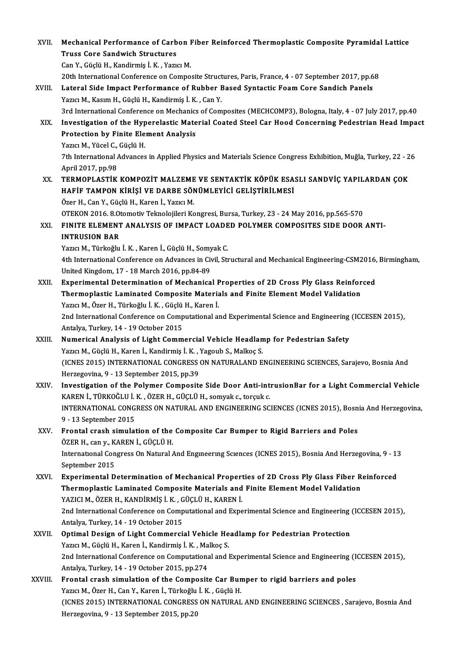| XVII.   | Mechanical Performance of Carbon Fiber Reinforced Thermoplastic Composite Pyramidal Lattice                                                                                |
|---------|----------------------------------------------------------------------------------------------------------------------------------------------------------------------------|
|         | <b>Truss Core Sandwich Structures</b>                                                                                                                                      |
|         | Can Y., Güçlü H., Kandirmiş İ. K., Yazıcı M.                                                                                                                               |
|         | 20th International Conference on Composite Structures, Paris, France, 4 - 07 September 2017, pp.68                                                                         |
| XVIII.  | Lateral Side Impact Performance of Rubber Based Syntactic Foam Core Sandich Panels                                                                                         |
|         | Yazıcı M., Kasım H., Güçlü H., Kandirmiş İ. K., Can Y.                                                                                                                     |
|         | 3rd International Conference on Mechanics of Composites (MECHCOMP3), Bologna, Italy, 4 - 07 July 2017, pp.40                                                               |
| XIX.    | Investigation of the Hyperelastic Material Coated Steel Car Hood Concerning Pedestrian Head Impact                                                                         |
|         | <b>Protection by Finite Element Analysis</b>                                                                                                                               |
|         | Yazıcı M., Yücel C., Güçlü H.                                                                                                                                              |
|         | 7th International Advances in Applied Physics and Materials Science Congress Exhibition, Muğla, Turkey, 22 - 26<br>April 2017, pp 98                                       |
| XX.     | TERMOPLASTIK KOMPOZIT MALZEME VE SENTAKTIK KÖPÜK ESASLI SANDVİÇ YAPILARDAN ÇOK                                                                                             |
|         | HAFİF TAMPON KİRİŞİ VE DARBE SÖNÜMLEYİCİ GELİŞTİRİLMESİ                                                                                                                    |
|         | Özer H., Can Y., Güçlü H., Karen İ., Yazıcı M.                                                                                                                             |
|         | OTEKON 2016. 8.Otomotiv Teknolojileri Kongresi, Bursa, Turkey, 23 - 24 May 2016, pp.565-570<br>FINITE ELEMENT ANALYSIS OF IMPACT LOADED POLYMER COMPOSITES SIDE DOOR ANTI- |
| XXI.    |                                                                                                                                                                            |
|         | <b>INTRUSION BAR</b><br>Yazıcı M., Türkoğlu İ. K., Karen İ., Güçlü H., Somyak C.                                                                                           |
|         | 4th International Conference on Advances in Civil, Structural and Mechanical Engineering-CSM2016, Birmingham,                                                              |
|         | United Kingdom, 17 - 18 March 2016, pp 84-89                                                                                                                               |
| XXII.   | Experimental Determination of Mechanical Properties of 2D Cross Ply Glass Reinforced                                                                                       |
|         | Thermoplastic Laminated Composite Materials and Finite Element Model Validation                                                                                            |
|         | Yazıcı M., Özer H., Türkoğlu İ. K., Güçlü H., Karen İ.                                                                                                                     |
|         | 2nd International Conference on Computational and Experimental Science and Engineering (ICCESEN 2015),                                                                     |
|         | Antalya, Turkey, 14 - 19 October 2015                                                                                                                                      |
| XXIII.  | Numerical Analysis of Light Commercial Vehicle Headlamp for Pedestrian Safety                                                                                              |
|         | Yazıcı M., Güçlü H., Karen İ., Kandirmiş İ. K., Yagoub S., Malkoç S.                                                                                                       |
|         | (ICNES 2015) INTERNATIONAL CONGRESS ON NATURALAND ENGINEERING SCIENCES, Sarajevo, Bosnia And                                                                               |
|         | Herzegovina, 9 - 13 September 2015, pp 39                                                                                                                                  |
| XXIV.   | Investigation of the Polymer Composite Side Door Anti-intrusionBar for a Light Commercial Vehicle                                                                          |
|         | KAREN İ., TÜRKOĞLU İ. K., ÖZER H., GÜÇLÜ H., somyak c., torçuk c.                                                                                                          |
|         | INTERNATIONAL CONGRESS ON NATURAL AND ENGINEERING SCIENCES (ICNES 2015), Bosnia And Herzegovina,                                                                           |
|         | 9 - 13 September 2015                                                                                                                                                      |
| XXV.    | Frontal crash simulation of the Composite Car Bumper to Rigid Barriers and Poles                                                                                           |
|         | ÖZER H., can y., KAREN İ., GÜÇLÜ H.                                                                                                                                        |
|         | International Congress On Natural And Engineering Sciences (ICNES 2015), Bosnia And Herzegovina, 9 - 13                                                                    |
|         | September 2015                                                                                                                                                             |
| XXVI.   | Experimental Determination of Mechanical Properties of 2D Cross Ply Glass Fiber Reinforced                                                                                 |
|         | Thermoplastic Laminated Composite Materials and Finite Element Model Validation                                                                                            |
|         | YAZICI M., ÖZER H., KANDİRMİŞ İ. K., GÜÇLÜ H., KAREN İ.                                                                                                                    |
|         | 2nd International Conference on Computational and Experimental Science and Engineering (ICCESEN 2015),                                                                     |
|         | Antalya, Turkey, 14 - 19 October 2015                                                                                                                                      |
| XXVII.  | Optimal Design of Light Commercial Vehicle Headlamp for Pedestrian Protection                                                                                              |
|         | Yazıcı M., Güçlü H., Karen İ., Kandirmiş İ. K., Malkoç S.                                                                                                                  |
|         | 2nd International Conference on Computational and Experimental Science and Engineering (ICCESEN 2015),                                                                     |
|         | Antalya, Turkey, 14 - 19 October 2015, pp 274                                                                                                                              |
| XXVIII. | Frontal crash simulation of the Composite Car Bumper to rigid barriers and poles                                                                                           |
|         | Yazıcı M., Özer H., Can Y., Karen İ., Türkoğlu İ. K., Güçlü H.                                                                                                             |
|         | (ICNES 2015) INTERNATIONAL CONGRESS ON NATURAL AND ENGINEERING SCIENCES, Sarajevo, Bosnia And                                                                              |
|         | Herzegovina, 9 - 13 September 2015, pp.20                                                                                                                                  |